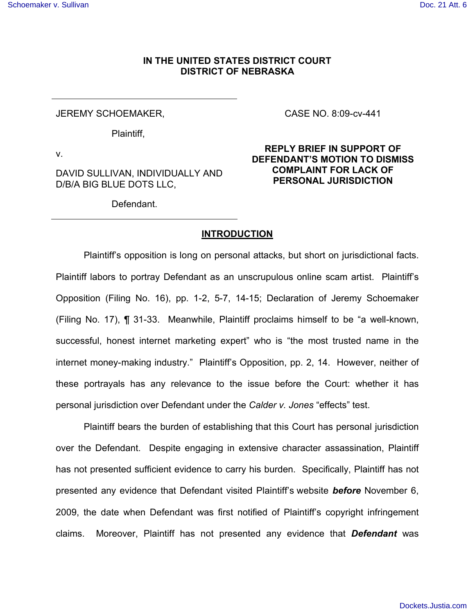### **IN THE UNITED STATES DISTRICT COURT DISTRICT OF NEBRASKA**

JEREMY SCHOEMAKER,

Plaintiff,

v.

DAVID SULLIVAN, INDIVIDUALLY AND D/B/A BIG BLUE DOTS LLC,

Defendant.

CASE NO. 8:09-cv-441

## **REPLY BRIEF IN SUPPORT OF DEFENDANT'S MOTION TO DISMISS COMPLAINT FOR LACK OF PERSONAL JURISDICTION**

### **INTRODUCTION**

Plaintiff's opposition is long on personal attacks, but short on jurisdictional facts. Plaintiff labors to portray Defendant as an unscrupulous online scam artist. Plaintiff's Opposition (Filing No. 16), pp. 1-2, 5-7, 14-15; Declaration of Jeremy Schoemaker (Filing No. 17), ¶ 31-33. Meanwhile, Plaintiff proclaims himself to be "a well-known, successful, honest internet marketing expert" who is "the most trusted name in the internet money-making industry." Plaintiff's Opposition, pp. 2, 14. However, neither of these portrayals has any relevance to the issue before the Court: whether it has personal jurisdiction over Defendant under the *Calder v. Jones* "effects" test.

Plaintiff bears the burden of establishing that this Court has personal jurisdiction over the Defendant. Despite engaging in extensive character assassination, Plaintiff has not presented sufficient evidence to carry his burden. Specifically, Plaintiff has not presented any evidence that Defendant visited Plaintiff's website *before* November 6, 2009, the date when Defendant was first notified of Plaintiff's copyright infringement claims. Moreover, Plaintiff has not presented any evidence that *Defendant* was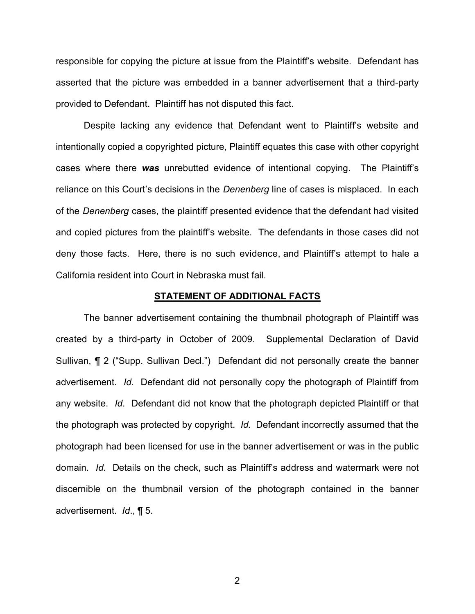responsible for copying the picture at issue from the Plaintiff's website. Defendant has asserted that the picture was embedded in a banner advertisement that a third-party provided to Defendant. Plaintiff has not disputed this fact.

Despite lacking any evidence that Defendant went to Plaintiff's website and intentionally copied a copyrighted picture, Plaintiff equates this case with other copyright cases where there *was* unrebutted evidence of intentional copying. The Plaintiff's reliance on this Court's decisions in the *Denenberg* line of cases is misplaced. In each of the *Denenberg* cases, the plaintiff presented evidence that the defendant had visited and copied pictures from the plaintiff's website. The defendants in those cases did not deny those facts. Here, there is no such evidence, and Plaintiff's attempt to hale a California resident into Court in Nebraska must fail.

#### **STATEMENT OF ADDITIONAL FACTS**

The banner advertisement containing the thumbnail photograph of Plaintiff was created by a third-party in October of 2009. Supplemental Declaration of David Sullivan, ¶ 2 ("Supp. Sullivan Decl.") Defendant did not personally create the banner advertisement. *Id.* Defendant did not personally copy the photograph of Plaintiff from any website. *Id*. Defendant did not know that the photograph depicted Plaintiff or that the photograph was protected by copyright. *Id.* Defendant incorrectly assumed that the photograph had been licensed for use in the banner advertisement or was in the public domain. *Id*. Details on the check, such as Plaintiff's address and watermark were not discernible on the thumbnail version of the photograph contained in the banner advertisement. *Id*., ¶ 5.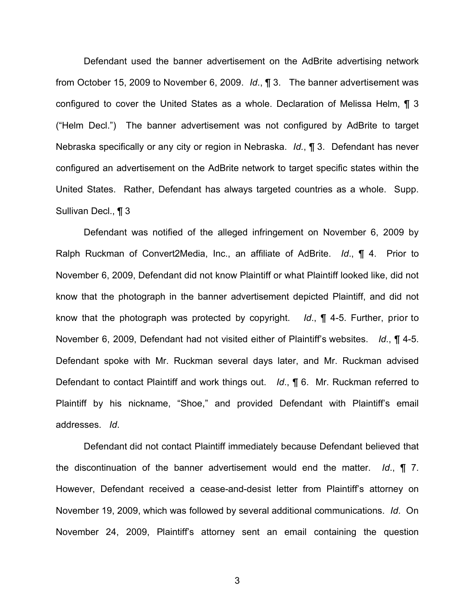Defendant used the banner advertisement on the AdBrite advertising network from October 15, 2009 to November 6, 2009. *Id*., ¶ 3. The banner advertisement was configured to cover the United States as a whole. Declaration of Melissa Helm, ¶ 3 ("Helm Decl.") The banner advertisement was not configured by AdBrite to target Nebraska specifically or any city or region in Nebraska. *Id.*, ¶ 3. Defendant has never configured an advertisement on the AdBrite network to target specific states within the United States. Rather, Defendant has always targeted countries as a whole. Supp. Sullivan Decl., ¶ 3

Defendant was notified of the alleged infringement on November 6, 2009 by Ralph Ruckman of Convert2Media, Inc., an affiliate of AdBrite. *Id*., ¶ 4. Prior to November 6, 2009, Defendant did not know Plaintiff or what Plaintiff looked like, did not know that the photograph in the banner advertisement depicted Plaintiff, and did not know that the photograph was protected by copyright. *Id*., ¶ 4-5. Further, prior to November 6, 2009, Defendant had not visited either of Plaintiff's websites. *Id*., ¶ 4-5. Defendant spoke with Mr. Ruckman several days later, and Mr. Ruckman advised Defendant to contact Plaintiff and work things out. *Id*., ¶ 6. Mr. Ruckman referred to Plaintiff by his nickname, "Shoe," and provided Defendant with Plaintiff's email addresses. *Id*.

Defendant did not contact Plaintiff immediately because Defendant believed that the discontinuation of the banner advertisement would end the matter. *Id*., ¶ 7. However, Defendant received a cease-and-desist letter from Plaintiff's attorney on November 19, 2009, which was followed by several additional communications. *Id*. On November 24, 2009, Plaintiff's attorney sent an email containing the question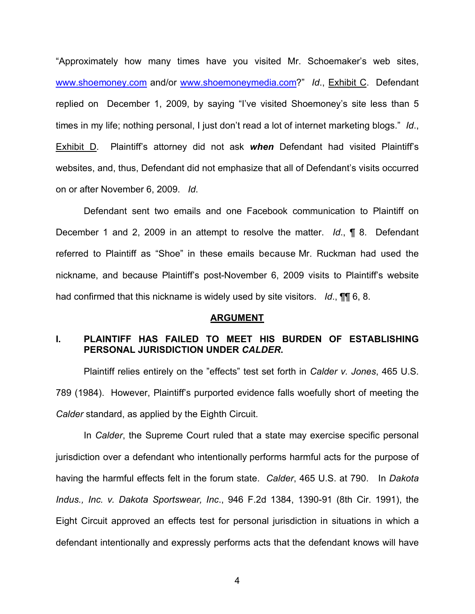"Approximately how many times have you visited Mr. Schoemaker's web sites, [w](http://www.shoemoney.com/)[ww.sh](www.sh)[oemoney.com](http://www.shoemoney.com/) and/or [w](http://www.shoemoneymedia.com/)[ww.shoemoneymedia.com](www.shoemoneymedia.com)?" *Id*., Exhibit C. Defendant replied on December 1, 2009, by saying "I've visited Shoemoney's site less than 5 times in my life; nothing personal, I just don't read a lot of internet marketing blogs." *Id*., Exhibit D. Plaintiff's attorney did not ask *when* Defendant had visited Plaintiff's websites, and, thus, Defendant did not emphasize that all of Defendant's visits occurred on or after November 6, 2009. *Id*.

Defendant sent two emails and one Facebook communication to Plaintiff on December 1 and 2, 2009 in an attempt to resolve the matter. *Id*., ¶ 8. Defendant referred to Plaintiff as "Shoe" in these emails because Mr. Ruckman had used the nickname, and because Plaintiff's post-November 6, 2009 visits to Plaintiff's website had confirmed that this nickname is widely used by site visitors. *Id*., ¶¶ 6, 8.

#### **ARGUMENT**

## **I. PLAINTIFF HAS FAILED TO MEET HIS BURDEN OF ESTABLISHING PERSONAL JURISDICTION UNDER** *CALDER***.**

Plaintiff relies entirely on the "effects" test set forth in *Calder v. Jones*, 465 U.S. 789 (1984). However, Plaintiff's purported evidence falls woefully short of meeting the *Calder* standard, as applied by the Eighth Circuit.

In *Calder*, the Supreme Court ruled that a state may exercise specific personal jurisdiction over a defendant who intentionally performs harmful acts for the purpose of having the harmful effects felt in the forum state. *Calder*, 465 U.S. at 790. In *Dakota Indus., Inc. v. Dakota Sportswear, Inc*., 946 F.2d 1384, 1390-91 (8th Cir. 1991), the Eight Circuit approved an effects test for personal jurisdiction in situations in which a defendant intentionally and expressly performs acts that the defendant knows will have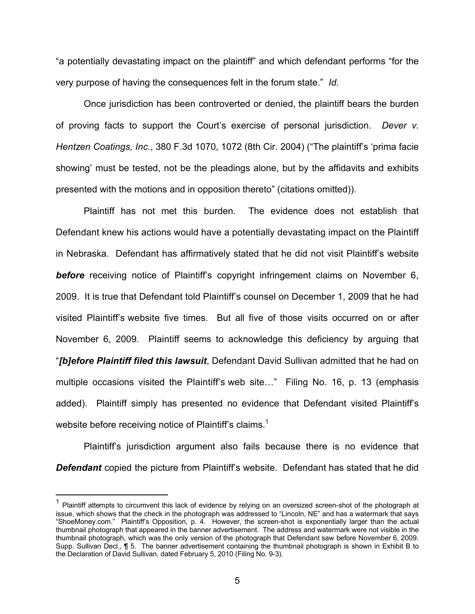"a potentially devastating impact on the plaintiff" and which defendant performs "for the very purpose of having the consequences felt in the forum state." *Id.*

Once jurisdiction has been controverted or denied, the plaintiff bears the burden of proving facts to support the Court's exercise of personal jurisdiction. *Dever v. Hentzen Coatings, Inc.*, 380 F.3d 1070, 1072 (8th Cir. 2004) ("The plaintiff's 'prima facie showing' must be tested, not be the pleadings alone, but by the affidavits and exhibits presented with the motions and in opposition thereto" (citations omitted)).

Plaintiff has not met this burden. The evidence does not establish that Defendant knew his actions would have a potentially devastating impact on the Plaintiff in Nebraska. Defendant has affirmatively stated that he did not visit Plaintiff's website *before* receiving notice of Plaintiff's copyright infringement claims on November 6, 2009. It is true that Defendant told Plaintiff's counsel on December 1, 2009 that he had visited Plaintiff's website five times. But all five of those visits occurred on or after November 6, 2009. Plaintiff seems to acknowledge this deficiency by arguing that "*[b]efore Plaintiff filed this lawsuit*, Defendant David Sullivan admitted that he had on multiple occasions visited the Plaintiff's web site…" Filing No. 16, p. 13 (emphasis added). Plaintiff simply has presented no evidence that Defendant visited Plaintiff's website before receiving notice of Plaintiff's claims.<sup>1</sup>

Plaintiff's jurisdiction argument also fails because there is no evidence that *Defendant* copied the picture from Plaintiff's website. Defendant has stated that he did

 $\overline{a}$ 

<sup>1</sup> Plaintiff attempts to circumvent this lack of evidence by relying on an oversized screen-shot of the photograph at issue, which shows that the check in the photograph was addressed to "Lincoln, NE" and has a watermark that says "ShoeMoney.com." Plaintiff's Opposition, p. 4. However, the screen-shot is exponentially larger than the actual thumbnail photograph that appeared in the banner advertisement. The address and watermark were not visible in the thumbnail photograph, which was the only version of the photograph that Defendant saw before November 6, 2009. Supp. Sullivan Decl., ¶ 5. The banner advertisement containing the thumbnail photograph is shown in Exhibit B to the Declaration of David Sullivan, dated February 5, 2010 (Filing No. 9-3).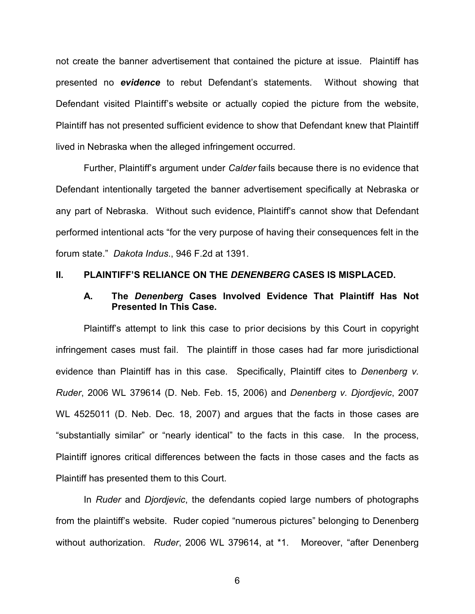not create the banner advertisement that contained the picture at issue. Plaintiff has presented no *evidence* to rebut Defendant's statements. Without showing that Defendant visited Plaintiff's website or actually copied the picture from the website, Plaintiff has not presented sufficient evidence to show that Defendant knew that Plaintiff lived in Nebraska when the alleged infringement occurred.

Further, Plaintiff's argument under *Calder* fails because there is no evidence that Defendant intentionally targeted the banner advertisement specifically at Nebraska or any part of Nebraska. Without such evidence, Plaintiff's cannot show that Defendant performed intentional acts "for the very purpose of having their consequences felt in the forum state." *Dakota Indus*., 946 F.2d at 1391.

### **II. PLAINTIFF'S RELIANCE ON THE** *DENENBERG* **CASES IS MISPLACED.**

#### **A. The** *Denenberg* **Cases Involved Evidence That Plaintiff Has Not Presented In This Case.**

Plaintiff's attempt to link this case to prior decisions by this Court in copyright infringement cases must fail. The plaintiff in those cases had far more jurisdictional evidence than Plaintiff has in this case. Specifically, Plaintiff cites to *Denenberg v. Ruder*, 2006 WL 379614 (D. Neb. Feb. 15, 2006) and *Denenberg v. Djordjevic*, 2007 WL 4525011 (D. Neb. Dec. 18, 2007) and argues that the facts in those cases are "substantially similar" or "nearly identical" to the facts in this case. In the process, Plaintiff ignores critical differences between the facts in those cases and the facts as Plaintiff has presented them to this Court.

In *Ruder* and *Djordjevic*, the defendants copied large numbers of photographs from the plaintiff's website. Ruder copied "numerous pictures" belonging to Denenberg without authorization. *Ruder*, 2006 WL 379614, at \*1. Moreover, "after Denenberg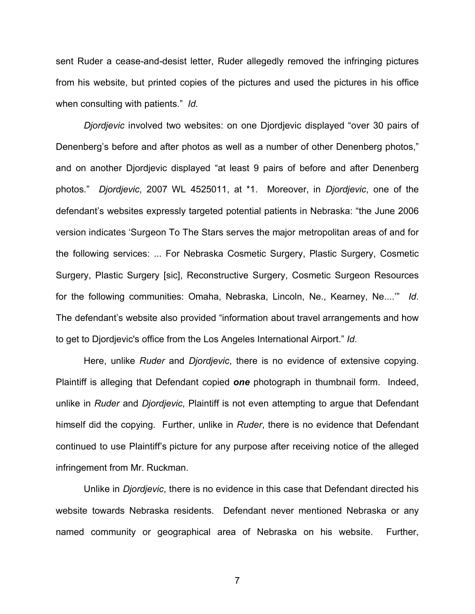sent Ruder a cease-and-desist letter, Ruder allegedly removed the infringing pictures from his website, but printed copies of the pictures and used the pictures in his office when consulting with patients." *Id.*

*Djordjevic* involved two websites: on one Djordjevic displayed "over 30 pairs of Denenberg's before and after photos as well as a number of other Denenberg photos," and on another Djordjevic displayed "at least 9 pairs of before and after Denenberg photos." *Djordjevic*, 2007 WL 4525011, at \*1. Moreover, in *Djordjevic*, one of the defendant's websites expressly targeted potential patients in Nebraska: "the June 2006 version indicates 'Surgeon To The Stars serves the major metropolitan areas of and for the following services: ... For Nebraska Cosmetic Surgery, Plastic Surgery, Cosmetic Surgery, Plastic Surgery [sic], Reconstructive Surgery, Cosmetic Surgeon Resources for the following communities: Omaha, Nebraska, Lincoln, Ne., Kearney, Ne....'" *Id*. The defendant's website also provided "information about travel arrangements and how to get to Djordjevic's office from the Los Angeles International Airport." *Id*.

Here, unlike *Ruder* and *Djordjevic*, there is no evidence of extensive copying. Plaintiff is alleging that Defendant copied *one* photograph in thumbnail form. Indeed, unlike in *Ruder* and *Djordjevic*, Plaintiff is not even attempting to argue that Defendant himself did the copying. Further, unlike in *Ruder*, there is no evidence that Defendant continued to use Plaintiff's picture for any purpose after receiving notice of the alleged infringement from Mr. Ruckman.

Unlike in *Djordjevic*, there is no evidence in this case that Defendant directed his website towards Nebraska residents. Defendant never mentioned Nebraska or any named community or geographical area of Nebraska on his website. Further,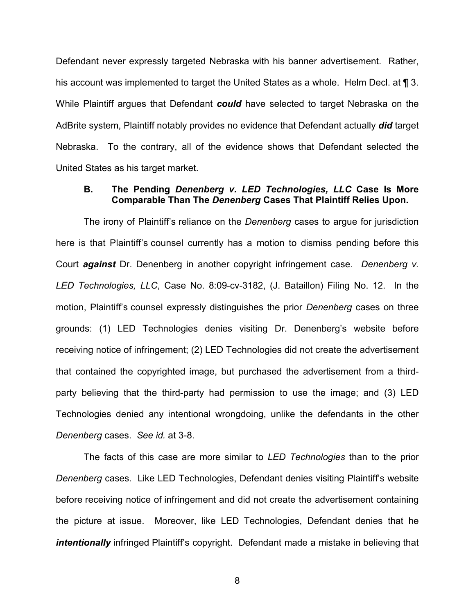Defendant never expressly targeted Nebraska with his banner advertisement. Rather, his account was implemented to target the United States as a whole. Helm Decl. at  $\P$  3. While Plaintiff argues that Defendant *could* have selected to target Nebraska on the AdBrite system, Plaintiff notably provides no evidence that Defendant actually *did* target Nebraska. To the contrary, all of the evidence shows that Defendant selected the United States as his target market.

#### **B. The Pending** *Denenberg v. LED Technologies, LLC* **Case Is More Comparable Than The** *Denenberg* **Cases That Plaintiff Relies Upon.**

The irony of Plaintiff's reliance on the *Denenberg* cases to argue for jurisdiction here is that Plaintiff's counsel currently has a motion to dismiss pending before this Court *against* Dr. Denenberg in another copyright infringement case. *Denenberg v. LED Technologies, LLC*, Case No. 8:09-cv-3182, (J. Bataillon) Filing No. 12. In the motion, Plaintiff's counsel expressly distinguishes the prior *Denenberg* cases on three grounds: (1) LED Technologies denies visiting Dr. Denenberg's website before receiving notice of infringement; (2) LED Technologies did not create the advertisement that contained the copyrighted image, but purchased the advertisement from a thirdparty believing that the third-party had permission to use the image; and (3) LED Technologies denied any intentional wrongdoing, unlike the defendants in the other *Denenberg* cases. *See id.* at 3-8.

The facts of this case are more similar to *LED Technologies* than to the prior *Denenberg* cases. Like LED Technologies, Defendant denies visiting Plaintiff's website before receiving notice of infringement and did not create the advertisement containing the picture at issue. Moreover, like LED Technologies, Defendant denies that he *intentionally* infringed Plaintiff's copyright. Defendant made a mistake in believing that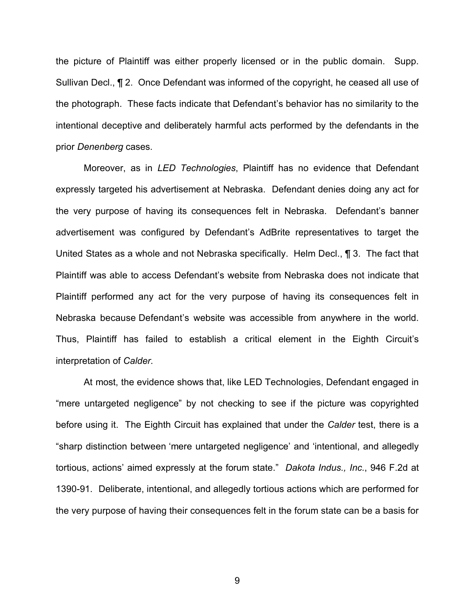the picture of Plaintiff was either properly licensed or in the public domain. Supp. Sullivan Decl., ¶ 2. Once Defendant was informed of the copyright, he ceased all use of the photograph. These facts indicate that Defendant's behavior has no similarity to the intentional deceptive and deliberately harmful acts performed by the defendants in the prior *Denenberg* cases.

Moreover, as in *LED Technologies*, Plaintiff has no evidence that Defendant expressly targeted his advertisement at Nebraska. Defendant denies doing any act for the very purpose of having its consequences felt in Nebraska. Defendant's banner advertisement was configured by Defendant's AdBrite representatives to target the United States as a whole and not Nebraska specifically. Helm Decl., **[1** 3. The fact that Plaintiff was able to access Defendant's website from Nebraska does not indicate that Plaintiff performed any act for the very purpose of having its consequences felt in Nebraska because Defendant's website was accessible from anywhere in the world. Thus, Plaintiff has failed to establish a critical element in the Eighth Circuit's interpretation of *Calder*.

At most, the evidence shows that, like LED Technologies, Defendant engaged in "mere untargeted negligence" by not checking to see if the picture was copyrighted before using it. The Eighth Circuit has explained that under the *Calder* test, there is a "sharp distinction between 'mere untargeted negligence' and 'intentional, and allegedly tortious, actions' aimed expressly at the forum state." *Dakota Indus., Inc.*, 946 F.2d at 1390-91. Deliberate, intentional, and allegedly tortious actions which are performed for the very purpose of having their consequences felt in the forum state can be a basis for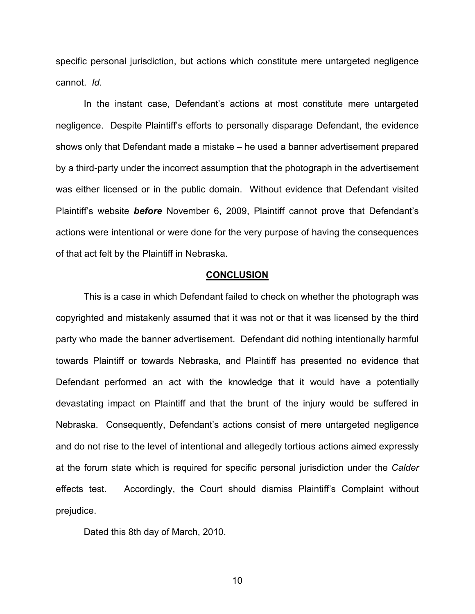specific personal jurisdiction, but actions which constitute mere untargeted negligence cannot. *Id*.

In the instant case, Defendant's actions at most constitute mere untargeted negligence. Despite Plaintiff's efforts to personally disparage Defendant, the evidence shows only that Defendant made a mistake – he used a banner advertisement prepared by a third-party under the incorrect assumption that the photograph in the advertisement was either licensed or in the public domain. Without evidence that Defendant visited Plaintiff's website *before* November 6, 2009, Plaintiff cannot prove that Defendant's actions were intentional or were done for the very purpose of having the consequences of that act felt by the Plaintiff in Nebraska.

#### **CONCLUSION**

This is a case in which Defendant failed to check on whether the photograph was copyrighted and mistakenly assumed that it was not or that it was licensed by the third party who made the banner advertisement. Defendant did nothing intentionally harmful towards Plaintiff or towards Nebraska, and Plaintiff has presented no evidence that Defendant performed an act with the knowledge that it would have a potentially devastating impact on Plaintiff and that the brunt of the injury would be suffered in Nebraska. Consequently, Defendant's actions consist of mere untargeted negligence and do not rise to the level of intentional and allegedly tortious actions aimed expressly at the forum state which is required for specific personal jurisdiction under the *Calder* effects test. Accordingly, the Court should dismiss Plaintiff's Complaint without prejudice.

Dated this 8th day of March, 2010.